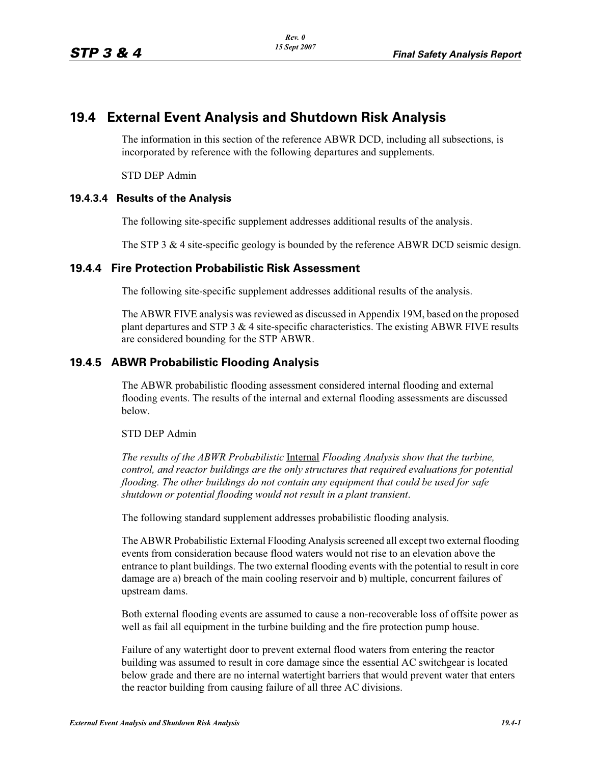# **19.4 External Event Analysis and Shutdown Risk Analysis**

The information in this section of the reference ABWR DCD, including all subsections, is incorporated by reference with the following departures and supplements.

STD DEP Admin

#### **19.4.3.4 Results of the Analysis**

The following site-specific supplement addresses additional results of the analysis.

The STP 3 & 4 site-specific geology is bounded by the reference ABWR DCD seismic design.

## **19.4.4 Fire Protection Probabilistic Risk Assessment**

The following site-specific supplement addresses additional results of the analysis.

The ABWR FIVE analysis was reviewed as discussed in Appendix 19M, based on the proposed plant departures and STP 3  $&$  4 site-specific characteristics. The existing ABWR FIVE results are considered bounding for the STP ABWR.

## **19.4.5 ABWR Probabilistic Flooding Analysis**

The ABWR probabilistic flooding assessment considered internal flooding and external flooding events. The results of the internal and external flooding assessments are discussed below.

#### STD DEP Admin

*The results of the ABWR Probabilistic* Internal *Flooding Analysis show that the turbine, control, and reactor buildings are the only structures that required evaluations for potential flooding. The other buildings do not contain any equipment that could be used for safe shutdown or potential flooding would not result in a plant transient*.

The following standard supplement addresses probabilistic flooding analysis.

The ABWR Probabilistic External Flooding Analysis screened all except two external flooding events from consideration because flood waters would not rise to an elevation above the entrance to plant buildings. The two external flooding events with the potential to result in core damage are a) breach of the main cooling reservoir and b) multiple, concurrent failures of upstream dams.

Both external flooding events are assumed to cause a non-recoverable loss of offsite power as well as fail all equipment in the turbine building and the fire protection pump house.

Failure of any watertight door to prevent external flood waters from entering the reactor building was assumed to result in core damage since the essential AC switchgear is located below grade and there are no internal watertight barriers that would prevent water that enters the reactor building from causing failure of all three AC divisions.